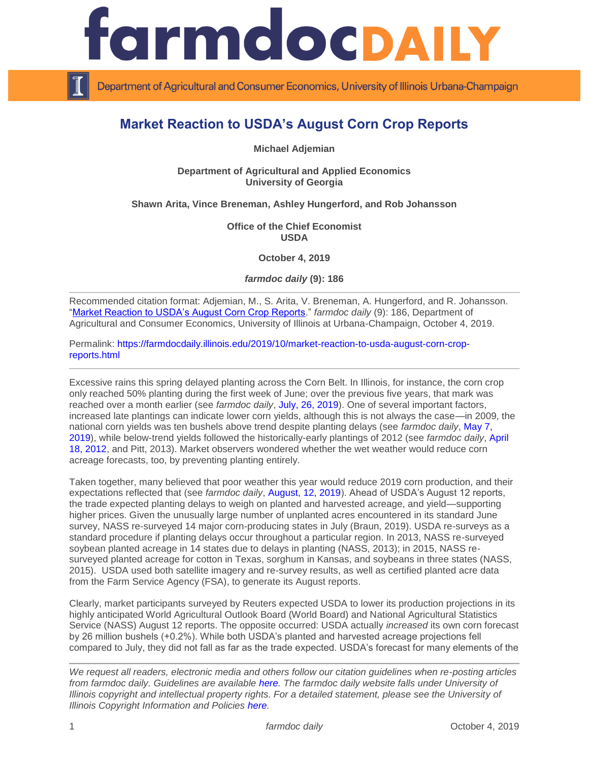

Department of Agricultural and Consumer Economics, University of Illinois Urbana-Champaign

# **Market Reaction to USDA's August Corn Crop Reports**

**Michael Adjemian**

**Department of Agricultural and Applied Economics University of Georgia** 

## **Shawn Arita, Vince Breneman, Ashley Hungerford, and Rob Johansson**

**Office of the Chief Economist USDA**

**October 4, 2019**

*farmdoc daily* **(9): 186**

Recommended citation format: Adjemian, M., S. Arita, V. Breneman, A. Hungerford, and R. Johansson. ["Market Reaction to USDA's August Corn Crop Reports.](https://farmdocdaily.illinois.edu/2019/10/market-reaction-to-usda-august-corn-crop-reports.html)" *farmdoc daily* (9): 186, Department of Agricultural and Consumer Economics, University of Illinois at Urbana-Champaign, October 4, 2019.

Permalink: [https://farmdocdaily.illinois.edu/2019/10/market-reaction-to-usda-august-corn-crop](https://farmdocdaily.illinois.edu/2019/10/market-reaction-to-usda-august-corn-crop-reports.html)[reports.html](https://farmdocdaily.illinois.edu/2019/10/market-reaction-to-usda-august-corn-crop-reports.html)

Excessive rains this spring delayed planting across the Corn Belt. In Illinois, for instance, the corn crop only reached 50% planting during the first week of June; over the previous five years, that mark was reached over a month earlier (see *farmdoc daily*, [July, 26, 2019\)](https://farmdocdaily.illinois.edu/2019/07/corn-and-soybean-crops-at-mid-season-2019.html). One of several important factors, increased late plantings can indicate lower corn yields, although this is not always the case—in 2009, the national corn yields was ten bushels above trend despite planting delays (see *farmdoc daily*, [May 7,](https://farmdocdaily.illinois.edu/2019/05/late-planting-decisions-in-2019.html)  [2019\)](https://farmdocdaily.illinois.edu/2019/05/late-planting-decisions-in-2019.html), while below-trend yields followed the historically-early plantings of 2012 (see *farmdoc daily*, [April](https://farmdocdaily.illinois.edu/2012/04/2012-corn-crop-to-be-the-earli.html)  [18, 2012,](https://farmdocdaily.illinois.edu/2012/04/2012-corn-crop-to-be-the-earli.html) and Pitt, 2013). Market observers wondered whether the wet weather would reduce corn acreage forecasts, too, by preventing planting entirely.

Taken together, many believed that poor weather this year would reduce 2019 corn production, and their expectations reflected that (see *farmdoc daily*, [August, 12, 2019\)](https://farmdocdaily.illinois.edu/2019/08/august-usda-reports.html). Ahead of USDA's August 12 reports, the trade expected planting delays to weigh on planted and harvested acreage, and yield—supporting higher prices. Given the unusually large number of unplanted acres encountered in its standard June survey, NASS re-surveyed 14 major corn-producing states in July (Braun, 2019). USDA re-surveys as a standard procedure if planting delays occur throughout a particular region. In 2013, NASS re-surveyed soybean planted acreage in 14 states due to delays in planting (NASS, 2013); in 2015, NASS resurveyed planted acreage for cotton in Texas, sorghum in Kansas, and soybeans in three states (NASS, 2015). USDA used both satellite imagery and re-survey results, as well as certified planted acre data from the Farm Service Agency (FSA), to generate its August reports.

Clearly, market participants surveyed by Reuters expected USDA to lower its production projections in its highly anticipated World Agricultural Outlook Board (World Board) and National Agricultural Statistics Service (NASS) August 12 reports. The opposite occurred: USDA actually *increased* its own corn forecast by 26 million bushels (+0.2%). While both USDA's planted and harvested acreage projections fell compared to July, they did not fall as far as the trade expected. USDA's forecast for many elements of the

*We request all readers, electronic media and others follow our citation guidelines when re-posting articles from farmdoc daily. Guidelines are available [here.](http://farmdocdaily.illinois.edu/citationguide.html) The farmdoc daily website falls under University of Illinois copyright and intellectual property rights. For a detailed statement, please see the University of Illinois Copyright Information and Policies [here.](http://www.cio.illinois.edu/policies/copyright/)*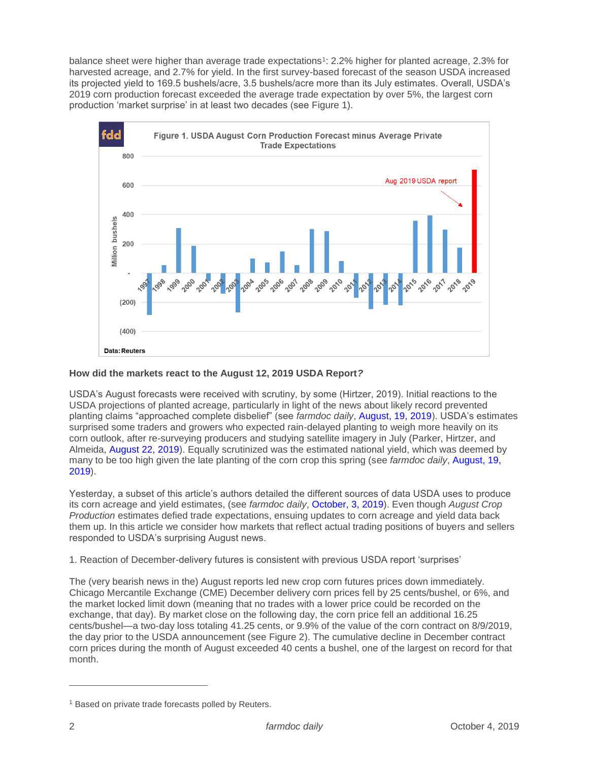balance sheet were higher than average trade expectations<sup>1</sup>: 2.2% higher for planted acreage, 2.3% for harvested acreage, and 2.7% for yield. In the first survey-based forecast of the season USDA increased its projected yield to 169.5 bushels/acre, 3.5 bushels/acre more than its July estimates. Overall, USDA's 2019 corn production forecast exceeded the average trade expectation by over 5%, the largest corn production 'market surprise' in at least two decades (see Figure 1).



## **How did the markets react to the August 12, 2019 USDA Report***?*

USDA's August forecasts were received with scrutiny, by some (Hirtzer, 2019). Initial reactions to the USDA projections of planted acreage, particularly in light of the news about likely record prevented planting claims "approached complete disbelief" (see *farmdoc daily*, [August, 19, 2019\)](https://farmdocdaily.illinois.edu/2019/08/questions-about-corn-crop-continue.html). USDA's estimates surprised some traders and growers who expected rain-delayed planting to weigh more heavily on its corn outlook, after re-surveying producers and studying satellite imagery in July (Parker, Hirtzer, and Almeida, [August 22, 2019\)](https://www.bloomberg.com/news/articles/2019-08-21/usda-pulls-staff-out-of-crop-tour-after-threat-to-employee). Equally scrutinized was the estimated national yield, which was deemed by many to be too high given the late planting of the corn crop this spring (see *farmdoc daily*, [August, 19,](https://farmdocdaily.illinois.edu/2019/08/questions-about-corn-crop-continue.html)  [2019\)](https://farmdocdaily.illinois.edu/2019/08/questions-about-corn-crop-continue.html).

Yesterday, a subset of this article's authors detailed the different sources of data USDA uses to produce its corn acreage and yield estimates, (see *farmdoc daily*, [October, 3, 2019\)](https://farmdocdaily.illinois.edu/2019/10/examining-usda-2019-acreage-and-yield-estimates.html). Even though *August Crop Production* estimates defied trade expectations, ensuing updates to corn acreage and yield data back them up. In this article we consider how markets that reflect actual trading positions of buyers and sellers responded to USDA's surprising August news.

1. Reaction of December-delivery futures is consistent with previous USDA report 'surprises'

The (very bearish news in the) August reports led new crop corn futures prices down immediately. Chicago Mercantile Exchange (CME) December delivery corn prices fell by 25 cents/bushel, or 6%, and the market locked limit down (meaning that no trades with a lower price could be recorded on the exchange, that day). By market close on the following day, the corn price fell an additional 16.25 cents/bushel—a two-day loss totaling 41.25 cents, or 9.9% of the value of the corn contract on 8/9/2019, the day prior to the USDA announcement (see Figure 2). The cumulative decline in December contract corn prices during the month of August exceeded 40 cents a bushel, one of the largest on record for that month.

 $\overline{a}$ 

<sup>&</sup>lt;sup>1</sup> Based on private trade forecasts polled by Reuters.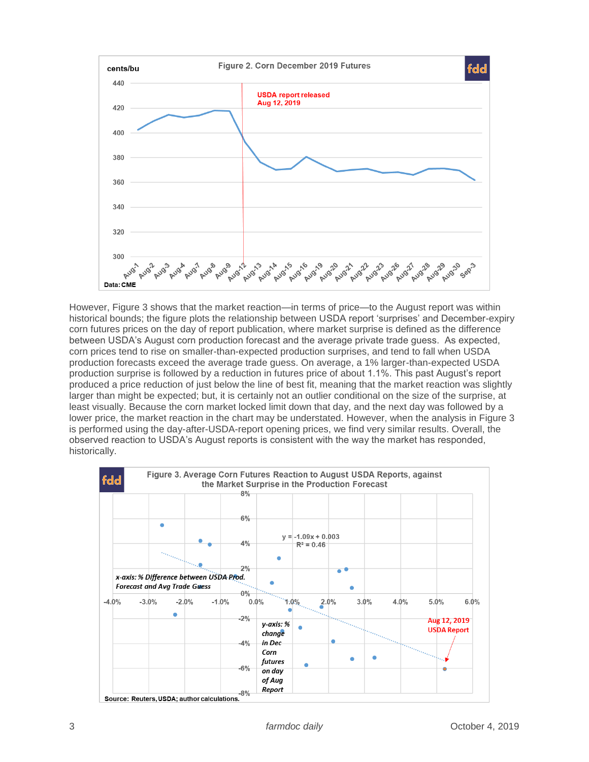

However, Figure 3 shows that the market reaction—in terms of price—to the August report was within historical bounds; the figure plots the relationship between USDA report 'surprises' and December-expiry corn futures prices on the day of report publication, where market surprise is defined as the difference between USDA's August corn production forecast and the average private trade guess. As expected, corn prices tend to rise on smaller-than-expected production surprises, and tend to fall when USDA production forecasts exceed the average trade guess. On average, a 1% larger-than-expected USDA production surprise is followed by a reduction in futures price of about 1.1%. This past August's report produced a price reduction of just below the line of best fit, meaning that the market reaction was slightly larger than might be expected; but, it is certainly not an outlier conditional on the size of the surprise, at least visually. Because the corn market locked limit down that day, and the next day was followed by a lower price, the market reaction in the chart may be understated. However, when the analysis in Figure 3 is performed using the day-after-USDA-report opening prices, we find very similar results. Overall, the observed reaction to USDA's August reports is consistent with the way the market has responded, historically.



3 *farmdoc daily* October 4, 2019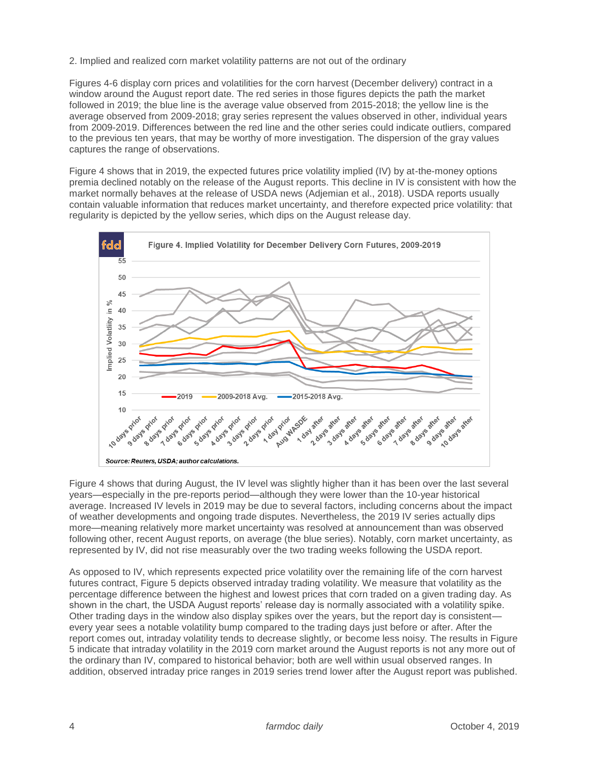2. Implied and realized corn market volatility patterns are not out of the ordinary

Figures 4-6 display corn prices and volatilities for the corn harvest (December delivery) contract in a window around the August report date. The red series in those figures depicts the path the market followed in 2019; the blue line is the average value observed from 2015-2018; the yellow line is the average observed from 2009-2018; gray series represent the values observed in other, individual years from 2009-2019. Differences between the red line and the other series could indicate outliers, compared to the previous ten years, that may be worthy of more investigation. The dispersion of the gray values captures the range of observations.

Figure 4 shows that in 2019, the expected futures price volatility implied (IV) by at-the-money options premia declined notably on the release of the August reports. This decline in IV is consistent with how the market normally behaves at the release of USDA news (Adjemian et al., 2018). USDA reports usually contain valuable information that reduces market uncertainty, and therefore expected price volatility: that regularity is depicted by the yellow series, which dips on the August release day.



Figure 4 shows that during August, the IV level was slightly higher than it has been over the last several years—especially in the pre-reports period—although they were lower than the 10-year historical average. Increased IV levels in 2019 may be due to several factors, including concerns about the impact of weather developments and ongoing trade disputes. Nevertheless, the 2019 IV series actually dips more—meaning relatively more market uncertainty was resolved at announcement than was observed following other, recent August reports, on average (the blue series). Notably, corn market uncertainty, as represented by IV, did not rise measurably over the two trading weeks following the USDA report.

As opposed to IV, which represents expected price volatility over the remaining life of the corn harvest futures contract, Figure 5 depicts observed intraday trading volatility. We measure that volatility as the percentage difference between the highest and lowest prices that corn traded on a given trading day. As shown in the chart, the USDA August reports' release day is normally associated with a volatility spike. Other trading days in the window also display spikes over the years, but the report day is consistent every year sees a notable volatility bump compared to the trading days just before or after. After the report comes out, intraday volatility tends to decrease slightly, or become less noisy. The results in Figure 5 indicate that intraday volatility in the 2019 corn market around the August reports is not any more out of the ordinary than IV, compared to historical behavior; both are well within usual observed ranges. In addition, observed intraday price ranges in 2019 series trend lower after the August report was published.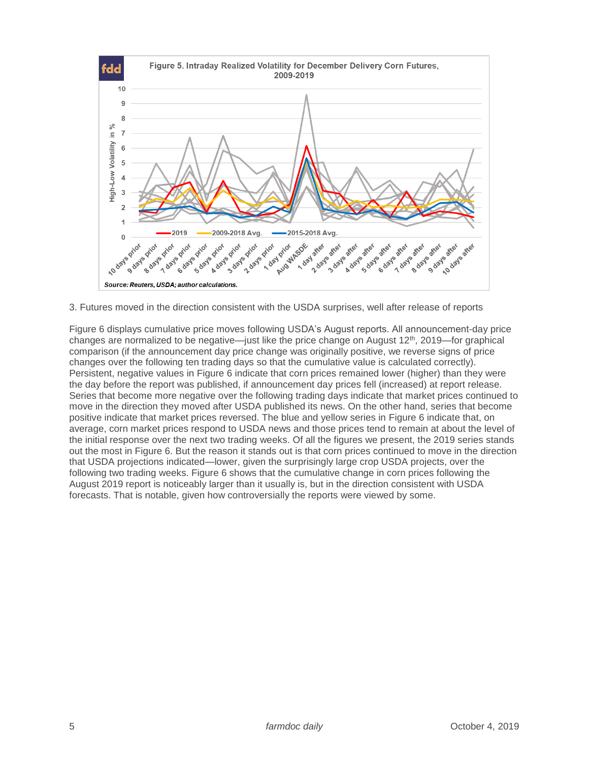

3. Futures moved in the direction consistent with the USDA surprises, well after release of reports

Figure 6 displays cumulative price moves following USDA's August reports. All announcement-day price changes are normalized to be negative—just like the price change on August 12th, 2019—for graphical comparison (if the announcement day price change was originally positive, we reverse signs of price changes over the following ten trading days so that the cumulative value is calculated correctly). Persistent, negative values in Figure 6 indicate that corn prices remained lower (higher) than they were the day before the report was published, if announcement day prices fell (increased) at report release. Series that become more negative over the following trading days indicate that market prices continued to move in the direction they moved after USDA published its news. On the other hand, series that become positive indicate that market prices reversed. The blue and yellow series in Figure 6 indicate that, on average, corn market prices respond to USDA news and those prices tend to remain at about the level of the initial response over the next two trading weeks. Of all the figures we present, the 2019 series stands out the most in Figure 6. But the reason it stands out is that corn prices continued to move in the direction that USDA projections indicated—lower, given the surprisingly large crop USDA projects, over the following two trading weeks. Figure 6 shows that the cumulative change in corn prices following the August 2019 report is noticeably larger than it usually is, but in the direction consistent with USDA forecasts. That is notable, given how controversially the reports were viewed by some.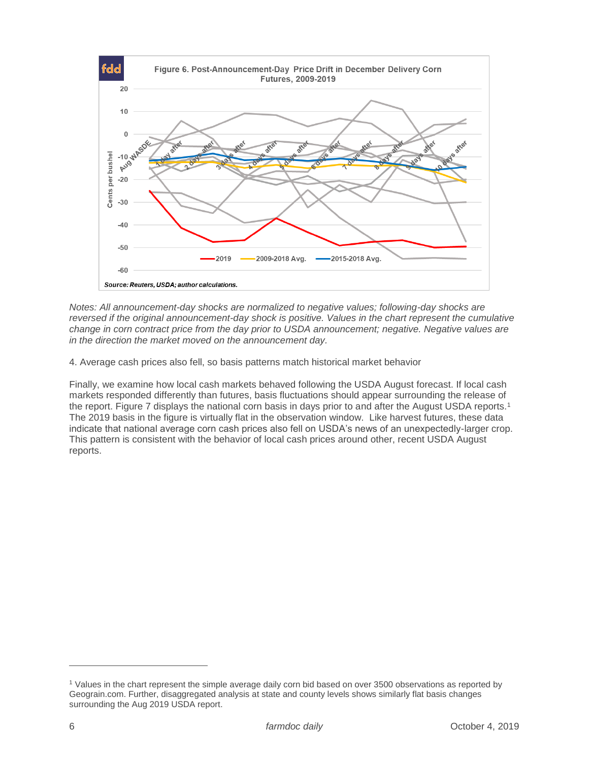

*Notes: All announcement-day shocks are normalized to negative values; following-day shocks are reversed if the original announcement-day shock is positive. Values in the chart represent the cumulative change in corn contract price from the day prior to USDA announcement; negative. Negative values are in the direction the market moved on the announcement day.*

4. Average cash prices also fell, so basis patterns match historical market behavior

Finally, we examine how local cash markets behaved following the USDA August forecast. If local cash markets responded differently than futures, basis fluctuations should appear surrounding the release of the report. Figure 7 displays the national corn basis in days prior to and after the August USDA reports.<sup>1</sup> The 2019 basis in the figure is virtually flat in the observation window. Like harvest futures, these data indicate that national average corn cash prices also fell on USDA's news of an unexpectedly-larger crop. This pattern is consistent with the behavior of local cash prices around other, recent USDA August reports.

 $\overline{a}$ 

<sup>1</sup> Values in the chart represent the simple average daily corn bid based on over 3500 observations as reported by Geograin.com. Further, disaggregated analysis at state and county levels shows similarly flat basis changes surrounding the Aug 2019 USDA report.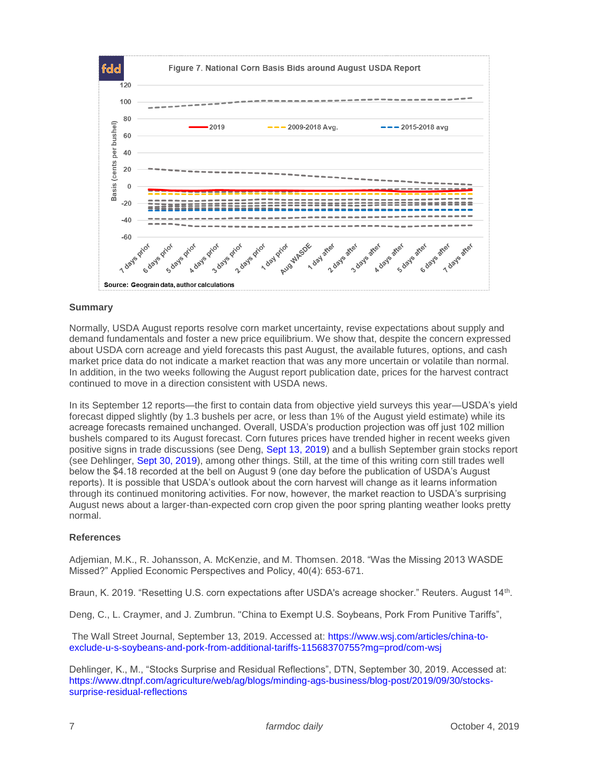

## **Summary**

Normally, USDA August reports resolve corn market uncertainty, revise expectations about supply and demand fundamentals and foster a new price equilibrium. We show that, despite the concern expressed about USDA corn acreage and yield forecasts this past August, the available futures, options, and cash market price data do not indicate a market reaction that was any more uncertain or volatile than normal. In addition, in the two weeks following the August report publication date, prices for the harvest contract continued to move in a direction consistent with USDA news.

In its September 12 reports—the first to contain data from objective yield surveys this year—USDA's yield forecast dipped slightly (by 1.3 bushels per acre, or less than 1% of the August yield estimate) while its acreage forecasts remained unchanged. Overall, USDA's production projection was off just 102 million bushels compared to its August forecast. Corn futures prices have trended higher in recent weeks given positive signs in trade discussions (see Deng, [Sept 13, 2019\)](https://www.wsj.com/articles/china-to-exclude-u-s-soybeans-and-pork-from-additional-tariffs-11568370755?mg=prod/com-wsj) and a bullish September grain stocks report (see Dehlinger, [Sept 30, 2019\)](https://www.dtnpf.com/agriculture/web/ag/blogs/minding-ags-business/blog-post/2019/09/30/stocks-surprise-residual-reflections), among other things. Still, at the time of this writing corn still trades well below the \$4.18 recorded at the bell on August 9 (one day before the publication of USDA's August reports). It is possible that USDA's outlook about the corn harvest will change as it learns information through its continued monitoring activities. For now, however, the market reaction to USDA's surprising August news about a larger-than-expected corn crop given the poor spring planting weather looks pretty normal.

### **References**

Adjemian, M.K., R. Johansson, A. McKenzie, and M. Thomsen. 2018. "Was the Missing 2013 WASDE Missed?" Applied Economic Perspectives and Policy, 40(4): 653-671.

Braun, K. 2019. "Resetting U.S. corn expectations after USDA's acreage shocker." Reuters. August 14<sup>th</sup>.

Deng, C., L. Craymer, and J. Zumbrun. "China to Exempt U.S. Soybeans, Pork From Punitive Tariffs",

The Wall Street Journal, September 13, 2019. Accessed at: [https://www.wsj.com/articles/china-to](https://www.wsj.com/articles/china-to-exclude-u-s-soybeans-and-pork-from-additional-tariffs-11568370755?mg=prod/com-wsj)[exclude-u-s-soybeans-and-pork-from-additional-tariffs-11568370755?mg=prod/com-wsj](https://www.wsj.com/articles/china-to-exclude-u-s-soybeans-and-pork-from-additional-tariffs-11568370755?mg=prod/com-wsj)

Dehlinger, K., M., "Stocks Surprise and Residual Reflections", DTN, September 30, 2019. Accessed at: [https://www.dtnpf.com/agriculture/web/ag/blogs/minding-ags-business/blog-post/2019/09/30/stocks](https://www.dtnpf.com/agriculture/web/ag/blogs/minding-ags-business/blog-post/2019/09/30/stocks-surprise-residual-reflections)[surprise-residual-reflections](https://www.dtnpf.com/agriculture/web/ag/blogs/minding-ags-business/blog-post/2019/09/30/stocks-surprise-residual-reflections)